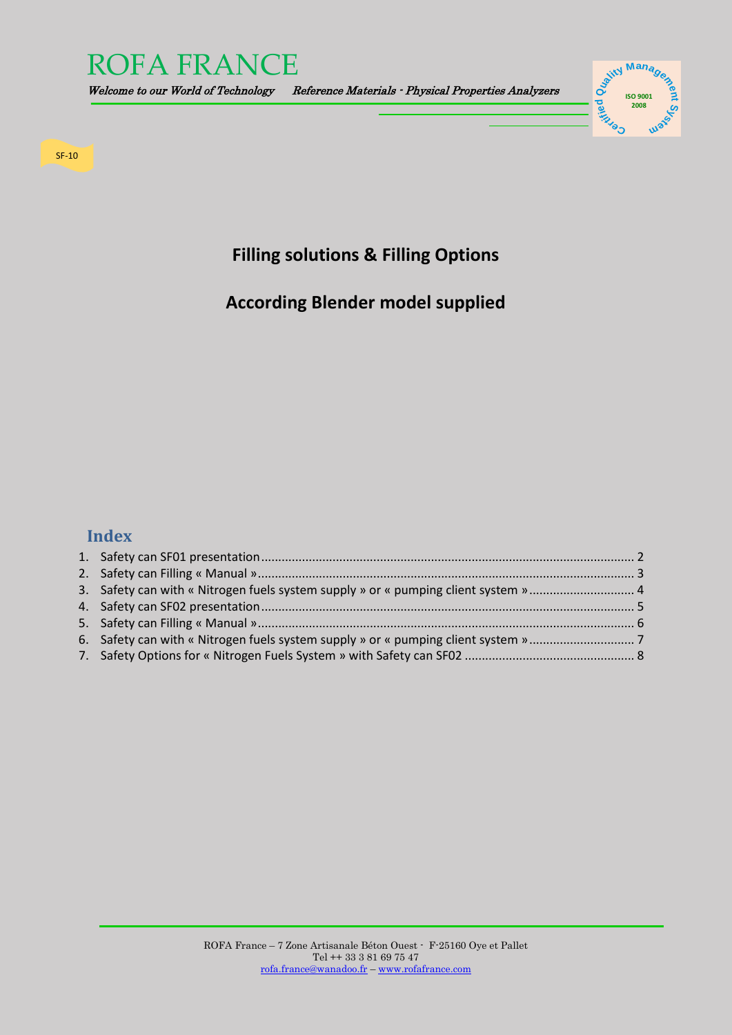

Welcome to our World of Technology Reference Materials - Physical Properties Analyzers



SF-10

## **Filling solutions & Filling Options**

# **According Blender model supplied**

### **Index**

| 3. Safety can with « Nitrogen fuels system supply » or « pumping client system »  4 |  |
|-------------------------------------------------------------------------------------|--|
|                                                                                     |  |
|                                                                                     |  |
|                                                                                     |  |
|                                                                                     |  |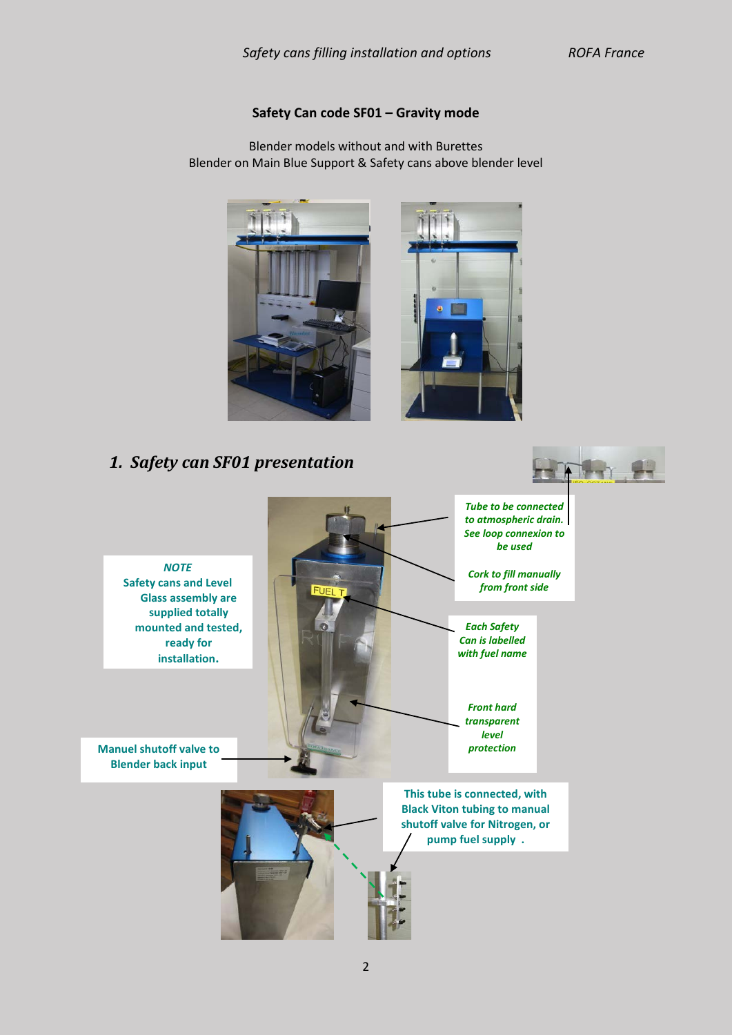#### **Safety Can code SF01 – Gravity mode**

Blender models without and with Burettes Blender on Main Blue Support & Safety cans above blender level





#### <span id="page-1-0"></span>*1. Safety can SF01 presentation Tube to be connected to atmospheric drain. See loop connexion to be used NOTE Cork to fill manually*  **Safety cans and Level**  *from front side*  **FUEL T Glass assembly are supplied totally mounted and tested,**  *Each Safety Can is labelled*  **ready for**  *with fuel name* **installation.** *Front hard transparent level*  **Manuel shutoff valve to**  *protection* **Blender back inputThis tube is connected, with Black Viton tubing to manual shutoff valve for Nitrogen, or pump fuel supply .**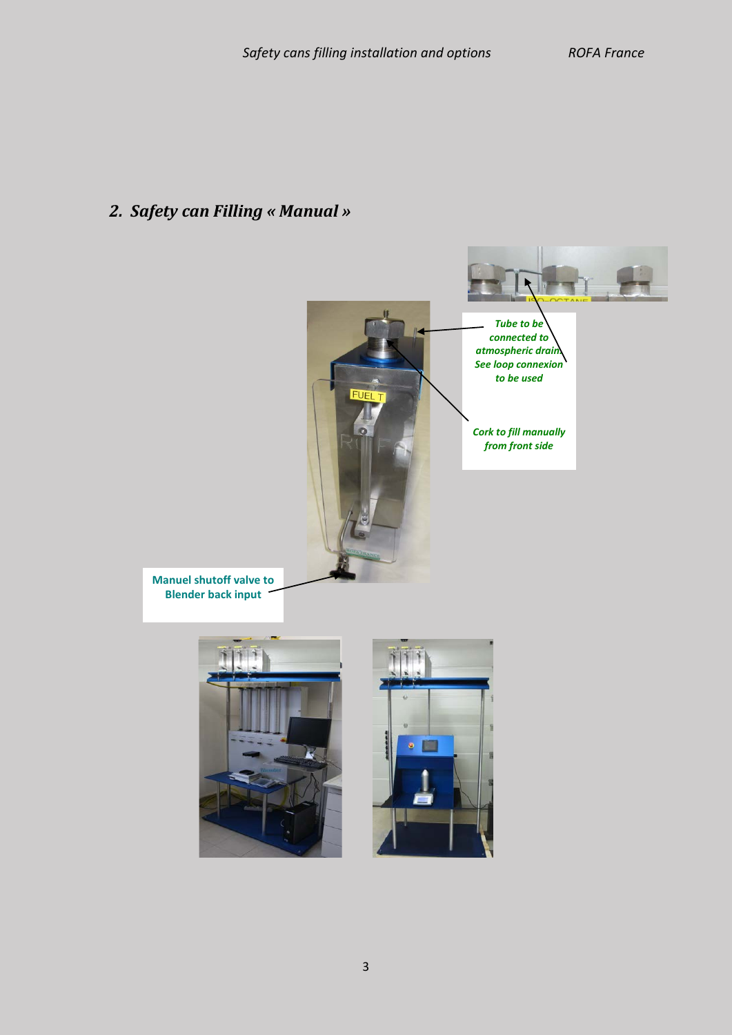# <span id="page-2-0"></span>*2. Safety can Filling « Manual »*

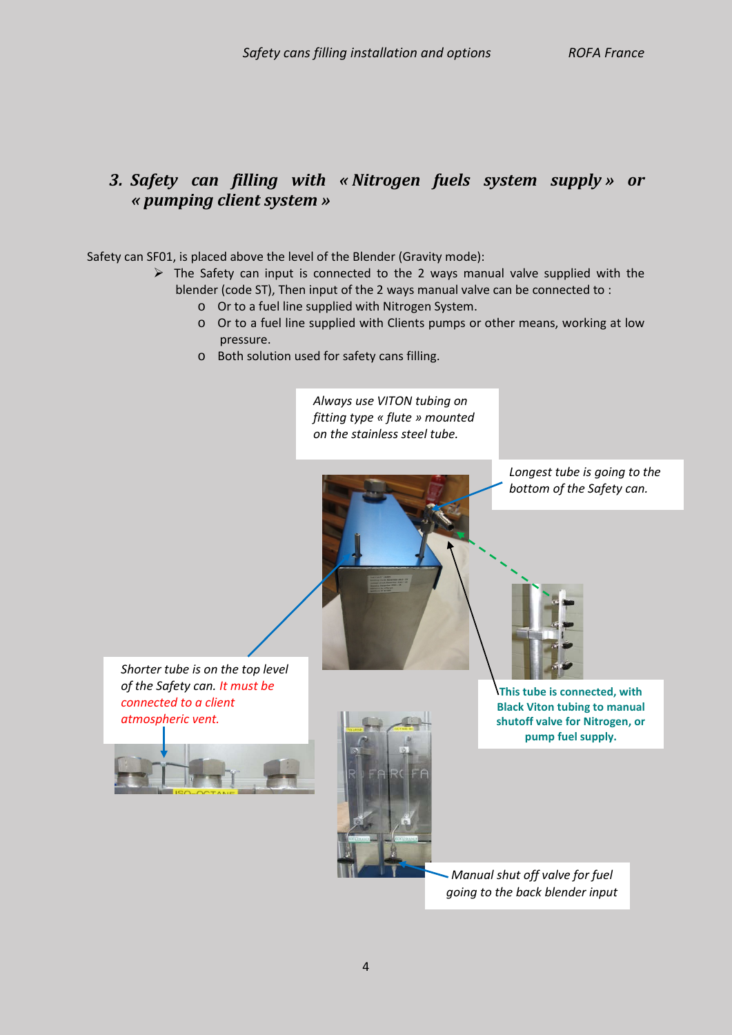### <span id="page-3-0"></span>*3. Safety can filling with « Nitrogen fuels system supply » or « pumping client system »*

Safety can SF01, is placed above the level of the Blender (Gravity mode):

- $\triangleright$  The Safety can input is connected to the 2 ways manual valve supplied with the blender (code ST), Then input of the 2 ways manual valve can be connected to :
	- o Or to a fuel line supplied with Nitrogen System.
	- o Or to a fuel line supplied with Clients pumps or other means, working at low pressure.
	- o Both solution used for safety cans filling.

*Always use VITON tubing on fitting type « flute » mounted on the stainless steel tube.*

> *Longest tube is going to the bottom of the Safety can.*

*Shorter tube is on the top level of the Safety can. It must be connected to a client atmospheric vent.*





**This tube is connected, with Black Viton tubing to manual shutoff valve for Nitrogen, or pump fuel supply.**

*Manual shut off valve for fuel going to the back blender input*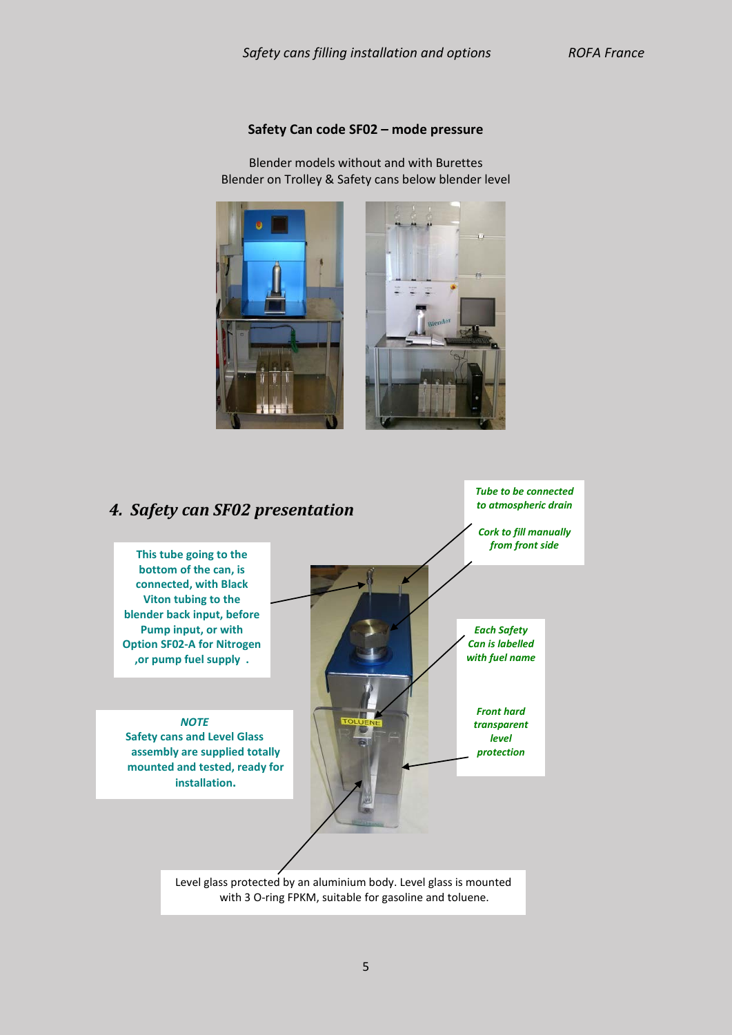#### **Safety Can code SF02 – mode pressure**

Blender models without and with Burettes Blender on Trolley & Safety cans below blender level



<span id="page-4-0"></span>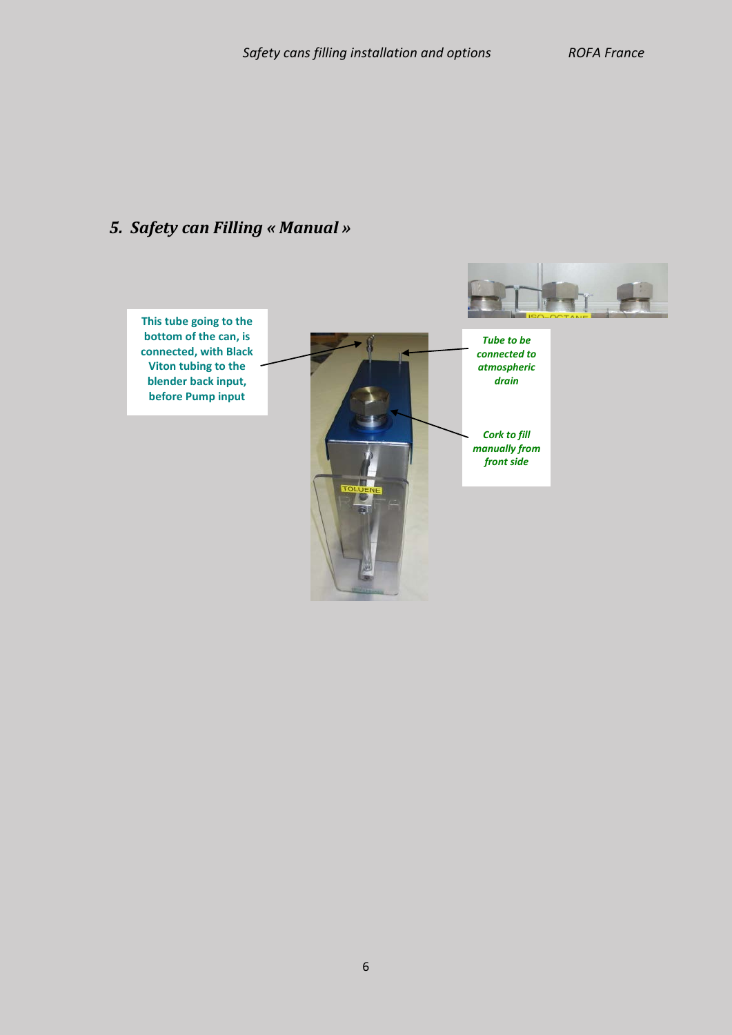# <span id="page-5-0"></span>*5. Safety can Filling « Manual »*

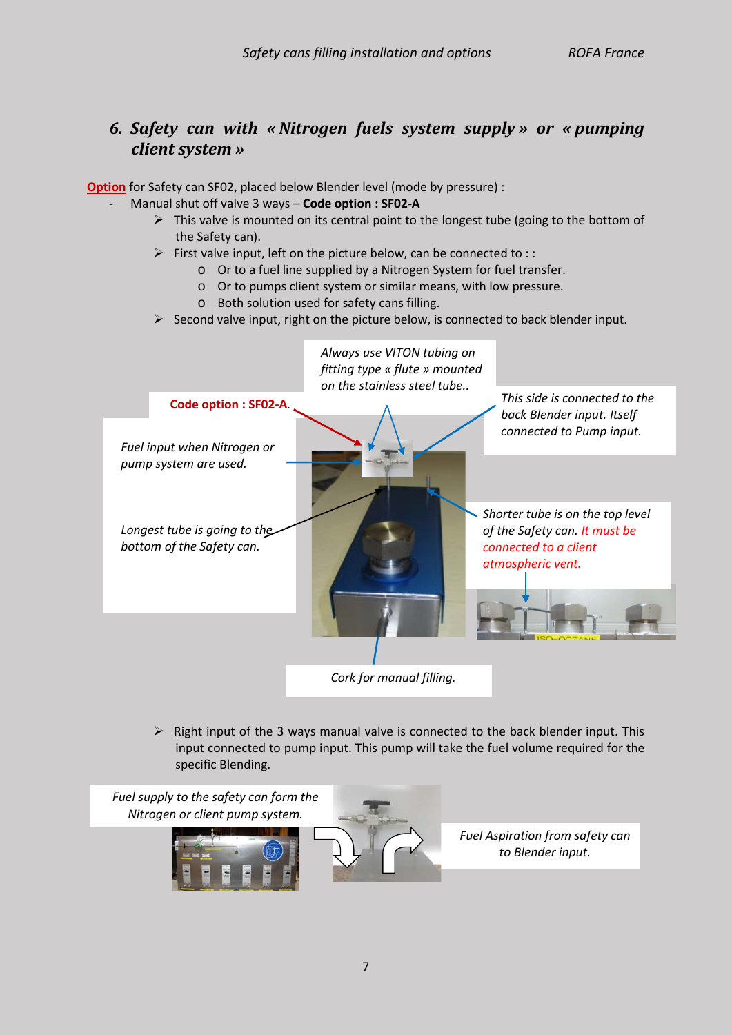### <span id="page-6-0"></span>*6. Safety can with « Nitrogen fuels system supply » or « pumping client system »*

**Option** for Safety can SF02, placed below Blender level (mode by pressure) :

- Manual shut off valve 3 ways **Code option : SF02-A**
	- $\triangleright$  This valve is mounted on its central point to the longest tube (going to the bottom of the Safety can).
	- $\triangleright$  First valve input, left on the picture below, can be connected to ::
		- o Or to a fuel line supplied by a Nitrogen System for fuel transfer.
		- o Or to pumps client system or similar means, with low pressure.
		- o Both solution used for safety cans filling.
	- $\triangleright$  Second valve input, right on the picture below, is connected to back blender input.



 $\triangleright$  Right input of the 3 ways manual valve is connected to the back blender input. This input connected to pump input. This pump will take the fuel volume required for the specific Blending.